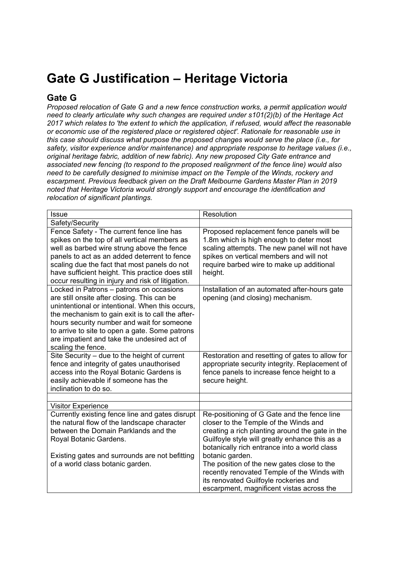## **Gate G Justification – Heritage Victoria**

## **Gate G**

*Proposed relocation of Gate G and a new fence construction works, a permit application would need to clearly articulate why such changes are required under s101(2)(b) of the Heritage Act 2017 which relates to 'the extent to which the application, if refused, would affect the reasonable or economic use of the registered place or registered object'. Rationale for reasonable use in this case should discuss what purpose the proposed changes would serve the place (i.e., for safety, visitor experience and/or maintenance) and appropriate response to heritage values (i.e., original heritage fabric, addition of new fabric). Any new proposed City Gate entrance and associated new fencing (to respond to the proposed realignment of the fence line) would also need to be carefully designed to minimise impact on the Temple of the Winds, rockery and escarpment. Previous feedback given on the Draft Melbourne Gardens Master Plan in 2019 noted that Heritage Victoria would strongly support and encourage the identification and relocation of significant plantings.* 

| <b>Issue</b>                                                                                                                                                                                                                                                                                                                                                        | Resolution                                                                                                                                                                                                                                                                                                                                                                                                                                      |
|---------------------------------------------------------------------------------------------------------------------------------------------------------------------------------------------------------------------------------------------------------------------------------------------------------------------------------------------------------------------|-------------------------------------------------------------------------------------------------------------------------------------------------------------------------------------------------------------------------------------------------------------------------------------------------------------------------------------------------------------------------------------------------------------------------------------------------|
| Safety/Security                                                                                                                                                                                                                                                                                                                                                     |                                                                                                                                                                                                                                                                                                                                                                                                                                                 |
| Fence Safety - The current fence line has<br>spikes on the top of all vertical members as<br>well as barbed wire strung above the fence<br>panels to act as an added deterrent to fence<br>scaling due the fact that most panels do not<br>have sufficient height. This practice does still<br>occur resulting in injury and risk of litigation.                    | Proposed replacement fence panels will be<br>1.8m which is high enough to deter most<br>scaling attempts. The new panel will not have<br>spikes on vertical members and will not<br>require barbed wire to make up additional<br>height.                                                                                                                                                                                                        |
| Locked in Patrons - patrons on occasions<br>are still onsite after closing. This can be<br>unintentional or intentional. When this occurs,<br>the mechanism to gain exit is to call the after-<br>hours security number and wait for someone<br>to arrive to site to open a gate. Some patrons<br>are impatient and take the undesired act of<br>scaling the fence. | Installation of an automated after-hours gate<br>opening (and closing) mechanism.                                                                                                                                                                                                                                                                                                                                                               |
| Site Security - due to the height of current<br>fence and integrity of gates unauthorised<br>access into the Royal Botanic Gardens is<br>easily achievable if someone has the<br>inclination to do so.                                                                                                                                                              | Restoration and resetting of gates to allow for<br>appropriate security integrity. Replacement of<br>fence panels to increase fence height to a<br>secure height.                                                                                                                                                                                                                                                                               |
|                                                                                                                                                                                                                                                                                                                                                                     |                                                                                                                                                                                                                                                                                                                                                                                                                                                 |
| <b>Visitor Experience</b><br>Currently existing fence line and gates disrupt<br>the natural flow of the landscape character<br>between the Domain Parklands and the<br>Royal Botanic Gardens.<br>Existing gates and surrounds are not befitting<br>of a world class botanic garden.                                                                                 | Re-positioning of G Gate and the fence line<br>closer to the Temple of the Winds and<br>creating a rich planting around the gate in the<br>Guilfoyle style will greatly enhance this as a<br>botanically rich entrance into a world class<br>botanic garden.<br>The position of the new gates close to the<br>recently renovated Temple of the Winds with<br>its renovated Guilfoyle rockeries and<br>escarpment, magnificent vistas across the |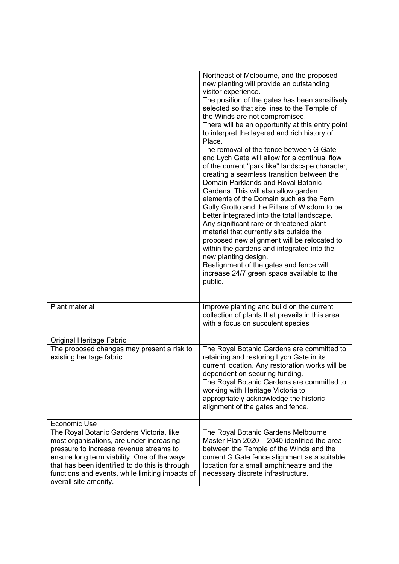|                                                                                                                                                                                                                                                                  | Northeast of Melbourne, and the proposed<br>new planting will provide an outstanding<br>visitor experience.<br>The position of the gates has been sensitively<br>selected so that site lines to the Temple of<br>the Winds are not compromised.<br>There will be an opportunity at this entry point<br>to interpret the layered and rich history of<br>Place.<br>The removal of the fence between G Gate<br>and Lych Gate will allow for a continual flow<br>of the current "park like" landscape character,<br>creating a seamless transition between the<br>Domain Parklands and Royal Botanic<br>Gardens. This will also allow garden<br>elements of the Domain such as the Fern<br>Gully Grotto and the Pillars of Wisdom to be<br>better integrated into the total landscape.<br>Any significant rare or threatened plant<br>material that currently sits outside the<br>proposed new alignment will be relocated to<br>within the gardens and integrated into the<br>new planting design.<br>Realignment of the gates and fence will<br>increase 24/7 green space available to the<br>public. |
|------------------------------------------------------------------------------------------------------------------------------------------------------------------------------------------------------------------------------------------------------------------|-----------------------------------------------------------------------------------------------------------------------------------------------------------------------------------------------------------------------------------------------------------------------------------------------------------------------------------------------------------------------------------------------------------------------------------------------------------------------------------------------------------------------------------------------------------------------------------------------------------------------------------------------------------------------------------------------------------------------------------------------------------------------------------------------------------------------------------------------------------------------------------------------------------------------------------------------------------------------------------------------------------------------------------------------------------------------------------------------------|
|                                                                                                                                                                                                                                                                  |                                                                                                                                                                                                                                                                                                                                                                                                                                                                                                                                                                                                                                                                                                                                                                                                                                                                                                                                                                                                                                                                                                     |
| <b>Plant material</b>                                                                                                                                                                                                                                            | Improve planting and build on the current<br>collection of plants that prevails in this area<br>with a focus on succulent species                                                                                                                                                                                                                                                                                                                                                                                                                                                                                                                                                                                                                                                                                                                                                                                                                                                                                                                                                                   |
|                                                                                                                                                                                                                                                                  |                                                                                                                                                                                                                                                                                                                                                                                                                                                                                                                                                                                                                                                                                                                                                                                                                                                                                                                                                                                                                                                                                                     |
| Original Heritage Fabric                                                                                                                                                                                                                                         |                                                                                                                                                                                                                                                                                                                                                                                                                                                                                                                                                                                                                                                                                                                                                                                                                                                                                                                                                                                                                                                                                                     |
| The proposed changes may present a risk to<br>existing heritage fabric                                                                                                                                                                                           | The Royal Botanic Gardens are committed to<br>retaining and restoring Lych Gate in its<br>current location. Any restoration works will be<br>dependent on securing funding.<br>The Royal Botanic Gardens are committed to<br>working with Heritage Victoria to<br>appropriately acknowledge the historic<br>alignment of the gates and fence.                                                                                                                                                                                                                                                                                                                                                                                                                                                                                                                                                                                                                                                                                                                                                       |
|                                                                                                                                                                                                                                                                  |                                                                                                                                                                                                                                                                                                                                                                                                                                                                                                                                                                                                                                                                                                                                                                                                                                                                                                                                                                                                                                                                                                     |
| Economic Use<br>The Royal Botanic Gardens Victoria, like                                                                                                                                                                                                         | The Royal Botanic Gardens Melbourne                                                                                                                                                                                                                                                                                                                                                                                                                                                                                                                                                                                                                                                                                                                                                                                                                                                                                                                                                                                                                                                                 |
| most organisations, are under increasing<br>pressure to increase revenue streams to<br>ensure long term viability. One of the ways<br>that has been identified to do this is through<br>functions and events, while limiting impacts of<br>overall site amenity. | Master Plan 2020 - 2040 identified the area<br>between the Temple of the Winds and the<br>current G Gate fence alignment as a suitable<br>location for a small amphitheatre and the<br>necessary discrete infrastructure.                                                                                                                                                                                                                                                                                                                                                                                                                                                                                                                                                                                                                                                                                                                                                                                                                                                                           |